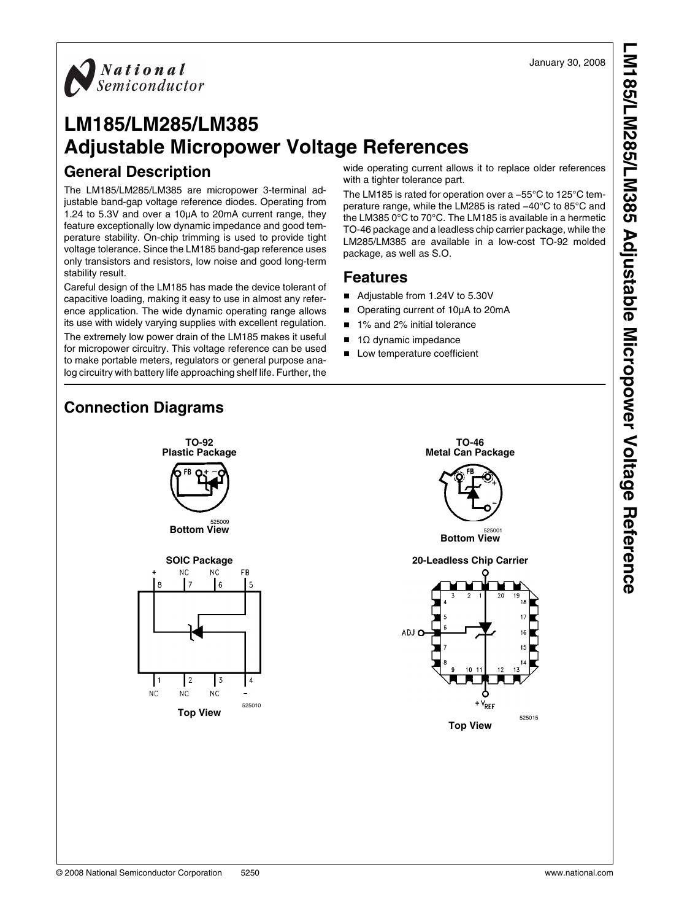

# **LM185/LM285/LM385 Adjustable Micropower Voltage References**

#### **General Description**

The LM185/LM285/LM385 are micropower 3-terminal adjustable band-gap voltage reference diodes. Operating from 1.24 to 5.3V and over a 10μA to 20mA current range, they feature exceptionally low dynamic impedance and good temperature stability. On-chip trimming is used to provide tight voltage tolerance. Since the LM185 band-gap reference uses only transistors and resistors, low noise and good long-term stability result.

Careful design of the LM185 has made the device tolerant of capacitive loading, making it easy to use in almost any reference application. The wide dynamic operating range allows its use with widely varying supplies with excellent regulation. The extremely low power drain of the LM185 makes it useful for micropower circuitry. This voltage reference can be used to make portable meters, regulators or general purpose analog circuitry with battery life approaching shelf life. Further, the

wide operating current allows it to replace older references with a tighter tolerance part.

The LM185 is rated for operation over a −55°C to 125°C temperature range, while the LM285 is rated −40°C to 85°C and the LM385 0°C to 70°C. The LM185 is available in a hermetic TO-46 package and a leadless chip carrier package, while the LM285/LM385 are available in a low-cost TO-92 molded package, as well as S.O.

#### **Features**

- Adjustable from 1.24V to 5.30V
- Operating current of 10μA to 20mA
- 1% and 2% initial tolerance
- $\blacksquare$  1 $\Omega$  dynamic impedance
- Low temperature coefficient

#### **Connection Diagrams**





525015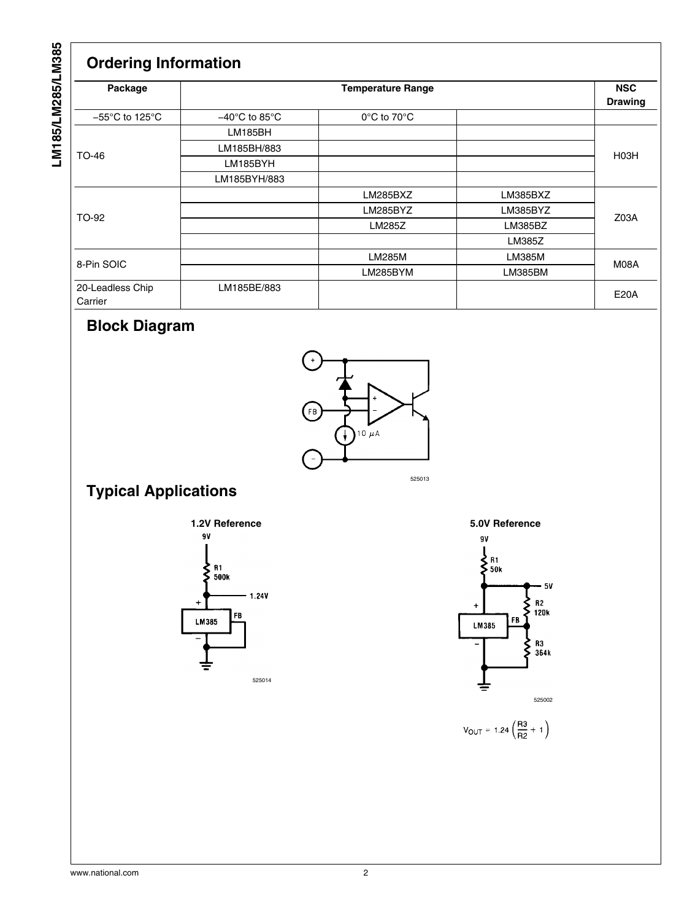# LM185/LM285/LM385 **LM185/LM285/LM385**

### **Ordering Information**

| Package                             |                                    | <b>Temperature Range</b> |          | <b>NSC</b><br><b>Drawing</b> |
|-------------------------------------|------------------------------------|--------------------------|----------|------------------------------|
| $-55^{\circ}$ C to 125 $^{\circ}$ C | $-40^{\circ}$ C to 85 $^{\circ}$ C | 0°C to 70°C              |          |                              |
|                                     | LM185BH                            |                          |          |                              |
| TO-46                               | LM185BH/883                        |                          |          | H <sub>03</sub> H            |
|                                     | LM185BYH                           |                          |          |                              |
|                                     | LM185BYH/883                       |                          |          |                              |
|                                     |                                    | LM285BXZ                 | LM385BXZ |                              |
| TO-92                               |                                    | LM285BYZ                 | LM385BYZ |                              |
|                                     |                                    | LM285Z                   | LM385BZ  | Z03A                         |
|                                     |                                    |                          | LM385Z   |                              |
|                                     |                                    | LM285M                   | LM385M   |                              |
| 8-Pin SOIC                          |                                    | LM285BYM                 | LM385BM  | M08A                         |
| 20-Leadless Chip<br>Carrier         | LM185BE/883                        |                          |          | <b>E20A</b>                  |

### **Block Diagram**



## **Typical Applications**







 $V_{OUT} = 1.24 \left(\frac{R3}{R2} + 1\right)$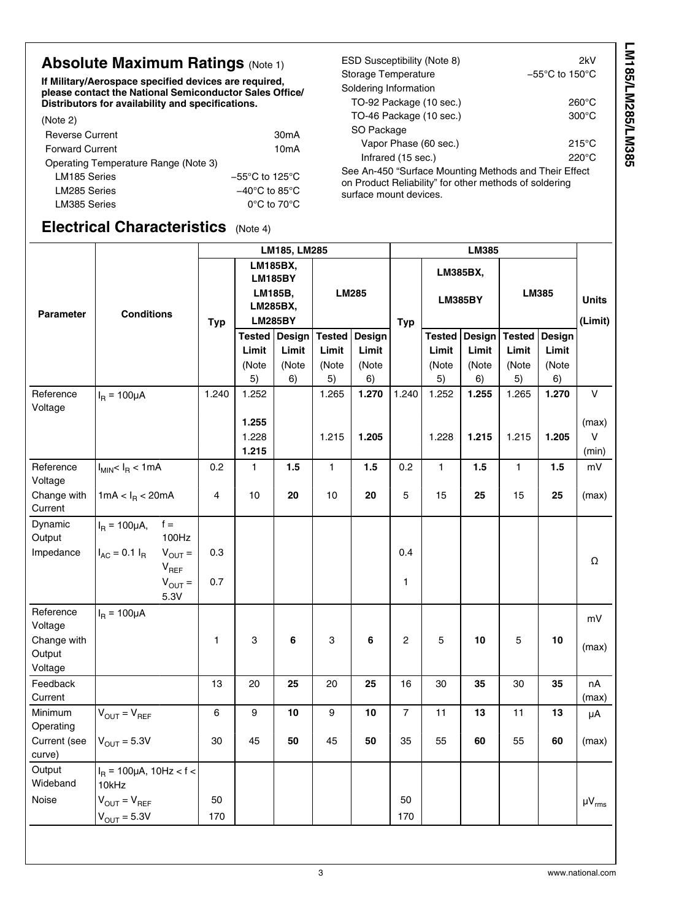### **Absolute Maximum Ratings (Note [1\)](#page-3-0)**

**If Military/Aerospace specified devices are required, please contact the National Semiconductor Sales Office/ Distributors for availability and specifications.**

| (Note 2)                             |                                     | TO-46 Package (10 sec.)                                           |
|--------------------------------------|-------------------------------------|-------------------------------------------------------------------|
| <b>Reverse Current</b>               | 30 <sub>m</sub> A                   | SO Package                                                        |
| <b>Forward Current</b>               | 10 <sub>m</sub> A                   | Vapor Phase (60 sec.)                                             |
| Operating Temperature Range (Note 3) |                                     | Infrared (15 sec.)                                                |
| LM185 Series                         | $-55^{\circ}$ C to 125 $^{\circ}$ C | See An-450 "Surface Mounting Metho                                |
| LM285 Series                         | $-40^{\circ}$ C to 85 $^{\circ}$ C  | on Product Reliability" for other metho<br>surface mount devices. |
| LM385 Series                         | $0^{\circ}$ C to 70 $^{\circ}$ C    |                                                                   |

#### **Electrical Characteris**

|                                                                                                                                                                                                   | שטוושטנטו טעוטט טוווטט<br>specifications. |          |                   |               |            | TO-92 Package (10 sec.)<br>TO-46 Package (10 sec.) |                 |                       |               |              | $260^{\circ}$ C<br>$300^{\circ}$ C |  |  |
|---------------------------------------------------------------------------------------------------------------------------------------------------------------------------------------------------|-------------------------------------------|----------|-------------------|---------------|------------|----------------------------------------------------|-----------------|-----------------------|---------------|--------------|------------------------------------|--|--|
|                                                                                                                                                                                                   |                                           |          | 30 <sub>m</sub> A |               | SO Package |                                                    |                 |                       |               |              | $215^{\circ}$ C                    |  |  |
| 10 <sub>m</sub> A<br>Infrared (15 sec.)<br>ote 3)<br>See An-450 "Surface Mounting Methods and Their Effect                                                                                        |                                           |          |                   |               |            |                                                    |                 | Vapor Phase (60 sec.) |               |              |                                    |  |  |
| $-55^{\circ}$ C to 125 $^{\circ}$ C<br>on Product Reliability" for other methods of soldering<br>$-40^{\circ}$ C to 85 $^{\circ}$ C<br>surface mount devices.<br>$0^{\circ}$ C to 70 $^{\circ}$ C |                                           |          |                   |               |            |                                                    |                 |                       |               |              |                                    |  |  |
|                                                                                                                                                                                                   | stics                                     | (Note 4) |                   |               |            |                                                    |                 |                       |               |              |                                    |  |  |
|                                                                                                                                                                                                   |                                           |          | LM185, LM285      |               |            |                                                    |                 | <b>LM385</b>          |               |              |                                    |  |  |
|                                                                                                                                                                                                   | LM185BX,<br><b>LM185BY</b>                |          |                   |               |            |                                                    | <b>LM385BX,</b> |                       |               |              |                                    |  |  |
|                                                                                                                                                                                                   | LM185B,<br>LM285BX,                       |          | <b>LM285</b>      |               |            | <b>LM385BY</b>                                     |                 |                       | <b>LM385</b>  | <b>Units</b> |                                    |  |  |
|                                                                                                                                                                                                   | <b>LM285BY</b><br>Typ                     |          |                   |               |            |                                                    |                 |                       |               | (Limit)      |                                    |  |  |
|                                                                                                                                                                                                   |                                           |          |                   |               |            | <b>Typ</b>                                         |                 |                       |               |              |                                    |  |  |
|                                                                                                                                                                                                   |                                           | Tested l | <b>Design</b>     | <b>Tested</b> | Design     |                                                    | Tested          | Design                | <b>Tested</b> | Design       |                                    |  |  |

Soldering Information

ESD Susceptibility (Note [8\)](#page-3-0) 2kV Storage Temperature −55°C to 150°C

|                        |                                                  | LM185, LM285<br><b>LM385</b> |                            |                |              |                 |                |                            |             |               |             |                 |
|------------------------|--------------------------------------------------|------------------------------|----------------------------|----------------|--------------|-----------------|----------------|----------------------------|-------------|---------------|-------------|-----------------|
|                        |                                                  |                              | <b>LM185BX,</b><br>LM185B, | <b>LM185BY</b> | <b>LM285</b> |                 |                | LM385BX,<br><b>LM385BY</b> |             | LM385         |             |                 |
| <b>Parameter</b>       | <b>Conditions</b>                                |                              | LM285BX,                   |                |              |                 |                |                            |             |               |             | <b>Units</b>    |
|                        |                                                  | <b>Typ</b>                   |                            | <b>LM285BY</b> |              |                 | <b>Typ</b>     |                            |             |               |             | (Limit)         |
|                        |                                                  |                              |                            | Tested Design  |              | Tested   Design |                | <b>Tested</b>              | Design      | <b>Tested</b> | Design      |                 |
|                        |                                                  |                              | Limit                      | Limit          | Limit        | Limit           |                | Limit                      | Limit       | Limit         | Limit       |                 |
|                        |                                                  |                              | (Note<br>5)                | (Note<br>6)    | (Note<br>5)  | (Note<br>6)     |                | (Note<br>5)                | (Note<br>6) | (Note<br>5)   | (Note<br>6) |                 |
| Reference              |                                                  | 1.240                        | 1.252                      |                | 1.265        | 1.270           | 1.240          | 1.252                      | 1.255       | 1.265         | 1.270       | $\mathsf{V}$    |
| Voltage                | $I_R = 100 \mu A$                                |                              |                            |                |              |                 |                |                            |             |               |             |                 |
|                        |                                                  |                              | 1.255                      |                |              |                 |                |                            |             |               |             | (max)<br>$\vee$ |
|                        |                                                  |                              | 1.228<br>1.215             |                | 1.215        | 1.205           |                | 1.228                      | 1.215       | 1.215         | 1.205       | (min)           |
| Reference              | $I_{MIN}$ < $I_R$ < 1mA                          | 0.2                          | 1                          | 1.5            | $\mathbf{1}$ | 1.5             | 0.2            | $\mathbf{1}$               | 1.5         | 1             | 1.5         | mV              |
| Voltage                |                                                  |                              |                            |                |              |                 |                |                            |             |               |             |                 |
| Change with<br>Current | 1mA < $I_R$ < 20mA                               | 4                            | 10                         | 20             | 10           | 20              | 5              | 15                         | 25          | 15            | 25          | (max)           |
| Dynamic                | $f =$<br>$I_{\rm B} = 100 \mu A$ ,               |                              |                            |                |              |                 |                |                            |             |               |             |                 |
| Output                 | 100Hz                                            |                              |                            |                |              |                 |                |                            |             |               |             |                 |
| Impedance              | $I_{AC} = 0.1 I_{R}$<br>$V_{OUT} =$<br>$V_{REF}$ | 0.3                          |                            |                |              |                 | 0.4            |                            |             |               |             | Ω               |
|                        | $V_{OUT} =$<br>5.3V                              | 0.7                          |                            |                |              |                 | 1              |                            |             |               |             |                 |
| Reference              | $I_{\rm B} = 100 \mu A$                          |                              |                            |                |              |                 |                |                            |             |               |             | mV              |
| Voltage<br>Change with |                                                  |                              | 3                          | 6              | 3            | 6               | $\overline{c}$ | 5                          | 10          | 5             | 10          |                 |
| Output                 |                                                  | 1                            |                            |                |              |                 |                |                            |             |               |             | (max)           |
| Voltage                |                                                  |                              |                            |                |              |                 |                |                            |             |               |             |                 |
| Feedback<br>Current    |                                                  | 13                           | 20                         | 25             | 20           | 25              | 16             | 30                         | 35          | 30            | 35          | nA<br>(max)     |
| Minimum                | $V_{OUT} = V_{REF}$                              | 6                            | 9                          | 10             | 9            | 10              | $\overline{7}$ | 11                         | 13          | 11            | 13          | μA              |
| Operating              |                                                  |                              |                            |                |              |                 |                |                            |             |               |             |                 |
| Current (see           | $V_{OUT} = 5.3V$                                 | 30                           | 45                         | 50             | 45           | 50              | 35             | 55                         | 60          | 55            | 60          | (max)           |
| curve)                 |                                                  |                              |                            |                |              |                 |                |                            |             |               |             |                 |
| Output<br>Wideband     | $I_B$ = 100µA, 10Hz < f <<br>10kHz               |                              |                            |                |              |                 |                |                            |             |               |             |                 |
| Noise                  | $V_{OUT} = V_{REF}$                              | 50                           |                            |                |              |                 | 50             |                            |             |               |             | $\mu V_{rms}$   |
|                        | $V_{OUT} = 5.3V$                                 | 170                          |                            |                |              |                 | 170            |                            |             |               |             |                 |
|                        |                                                  |                              |                            |                |              |                 |                |                            |             |               |             |                 |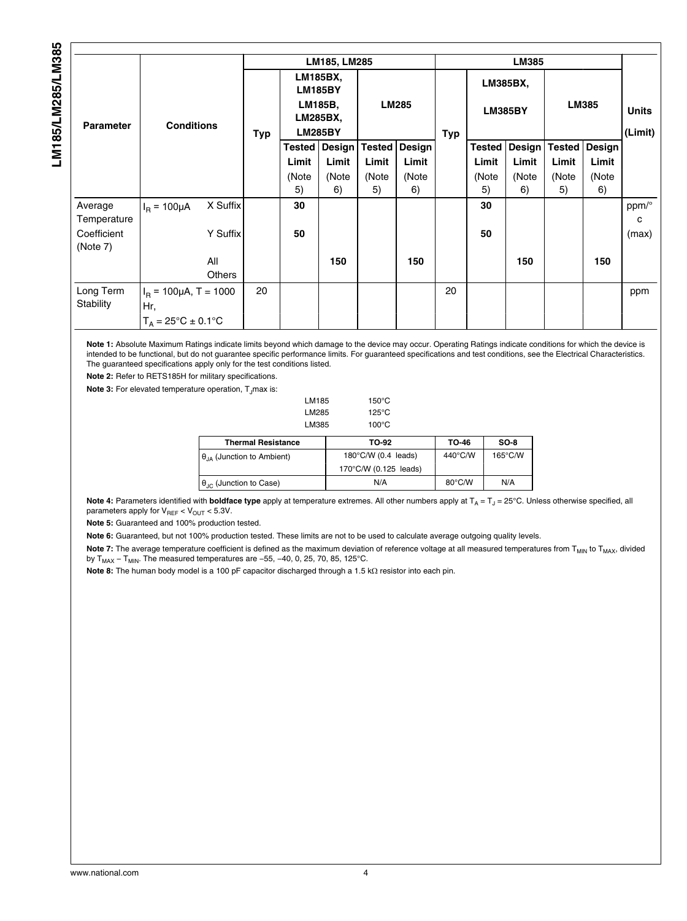<span id="page-3-0"></span>

|                        |                                      |               |     |                                                                            | LM185, LM285 |               |               |            |                            | <b>LM385</b> |               |        |                         |  |  |  |
|------------------------|--------------------------------------|---------------|-----|----------------------------------------------------------------------------|--------------|---------------|---------------|------------|----------------------------|--------------|---------------|--------|-------------------------|--|--|--|
| <b>Parameter</b>       | <b>Conditions</b>                    |               | Typ | LM185BX,<br><b>LM185BY</b><br>LM185B,<br><b>LM285BX,</b><br><b>LM285BY</b> |              | <b>LM285</b>  |               | <b>Typ</b> | LM385BX,<br><b>LM385BY</b> |              | LM385         |        | <b>Units</b><br>(Limit) |  |  |  |
|                        |                                      |               |     | <b>Tested</b>                                                              | Design       | <b>Tested</b> | <b>Design</b> |            | <b>Tested</b>              | Design       | <b>Tested</b> | Design |                         |  |  |  |
|                        |                                      |               |     | Limit                                                                      | Limit        | Limit         | Limit         |            | Limit                      | Limit        | Limit         | Limit  |                         |  |  |  |
|                        |                                      |               |     | (Note                                                                      | (Note        | (Note         | (Note         |            | (Note                      | (Note        | (Note         | (Note  |                         |  |  |  |
|                        |                                      |               |     | 5)                                                                         | 6)           | 5)            | 6)            |            | 5)                         | 6)           | 5)            | 6)     |                         |  |  |  |
| Average<br>Temperature | $I_{\rm B} = 100 \mu A$              | X Suffix      |     | 30                                                                         |              |               |               |            | 30                         |              |               |        | ppm/°<br>c              |  |  |  |
| Coefficient            |                                      | Y Suffix      |     | 50                                                                         |              |               |               |            | 50                         |              |               |        | (max)                   |  |  |  |
| (Note 7)               |                                      |               |     |                                                                            |              |               |               |            |                            |              |               |        |                         |  |  |  |
|                        |                                      | All<br>Others |     |                                                                            | 150          |               | 150           |            |                            | 150          |               | 150    |                         |  |  |  |
| Long Term<br>Stability | $IB$ = 100µA, T = 1000<br>Hr,        |               | 20  |                                                                            |              |               |               | 20         |                            |              |               |        | ppm                     |  |  |  |
|                        | $T_A = 25^{\circ}C \pm 0.1^{\circ}C$ |               |     |                                                                            |              |               |               |            |                            |              |               |        |                         |  |  |  |

**Note 1:** Absolute Maximum Ratings indicate limits beyond which damage to the device may occur. Operating Ratings indicate conditions for which the device is intended to be functional, but do not guarantee specific performance limits. For guaranteed specifications and test conditions, see the Electrical Characteristics. The guaranteed specifications apply only for the test conditions listed.

**Note 2:** Refer to RETS185H for military specifications.

**Note 3:** For elevated temperature operation, T<sub>J</sub>max is:

| LM285<br>LM385                          | 125°C<br>$100^{\circ}$ C      |                  |                   |
|-----------------------------------------|-------------------------------|------------------|-------------------|
| <b>Thermal Resistance</b>               | TO-92                         | TO-46            | $SO-8$            |
| $\theta_{14}$ (Junction to Ambient)     | $180^{\circ}$ C/W (0.4 leads) | 440°C/W          | $165^{\circ}$ C/W |
|                                         | 170°C/W (0.125 leads)         |                  |                   |
| $\theta_{\text{JC}}$ (Junction to Case) | N/A                           | $80^{\circ}$ C/W | N/A               |

LM185 150°C

Note 4: Parameters identified with boldface type apply at temperature extremes. All other numbers apply at T<sub>A</sub> = T<sub>J</sub> = 25°C. Unless otherwise specified, all parameters apply for  $V_{REF} < V_{OUT} < 5.3V$ .

**Note 5:** Guaranteed and 100% production tested.

**Note 6:** Guaranteed, but not 100% production tested. These limits are not to be used to calculate average outgoing quality levels.

Note 7: The average temperature coefficient is defined as the maximum deviation of reference voltage at all measured temperatures from T<sub>MIN</sub> to T<sub>MAX</sub>, divided by T<sub>MAX</sub> – T<sub>MIN</sub>. The measured temperatures are –55, –40, 0, 25, 70, 85, 125°C.

**Note 8:** The human body model is a 100 pF capacitor discharged through a 1.5 kΩ resistor into each pin.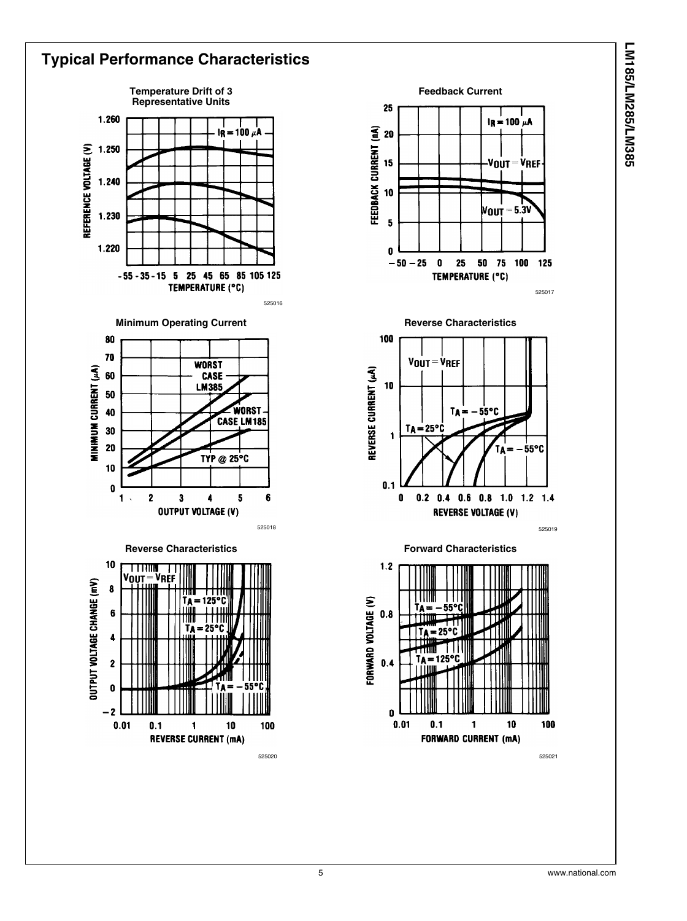

#### **Typical Performance Characteristics Temperature Drift of 3 Representative Units** 1.260  $\frac{1}{18}$  = 100  $\mu$ A REFERENCE VOLTAGE (V) 1.250  $1.240$ 1.230 1.220  $-55 - 35 - 15$  5 25 45 65 85 105 125 TEMPERATURE (°C) 525016 **Minimum Operating Current** 80 70 **WORST** MINIMUM CURRENT (AA) 60 CASE **LM385** 50 WORS1 40 CASE LM185 30 20 TYP @ 25°C 10  $\pmb{0}$  $\overline{2}$  $\overline{\mathbf{3}}$ 5  $6$ 1  $\ddot{\phantom{a}}$  $\ddot{\phantom{1}}$ **OUTPUT VOLTAGE (V)** 525018 **Reverse Characteristics**  $10$ **THUL** т Vout .<br>Vref OUTPUT VOLTAGE CHANGE (mV)  $\boldsymbol{8}$ יפ ו  $\ddot{\mathbf{6}}$  $\ddot{\phantom{a}}$  $\overline{2}$  $\mathbf{0}$  $-2$  $0.01$  $0.1$  $10$ 100 1 **REVERSE CURRENT (mA)**



525020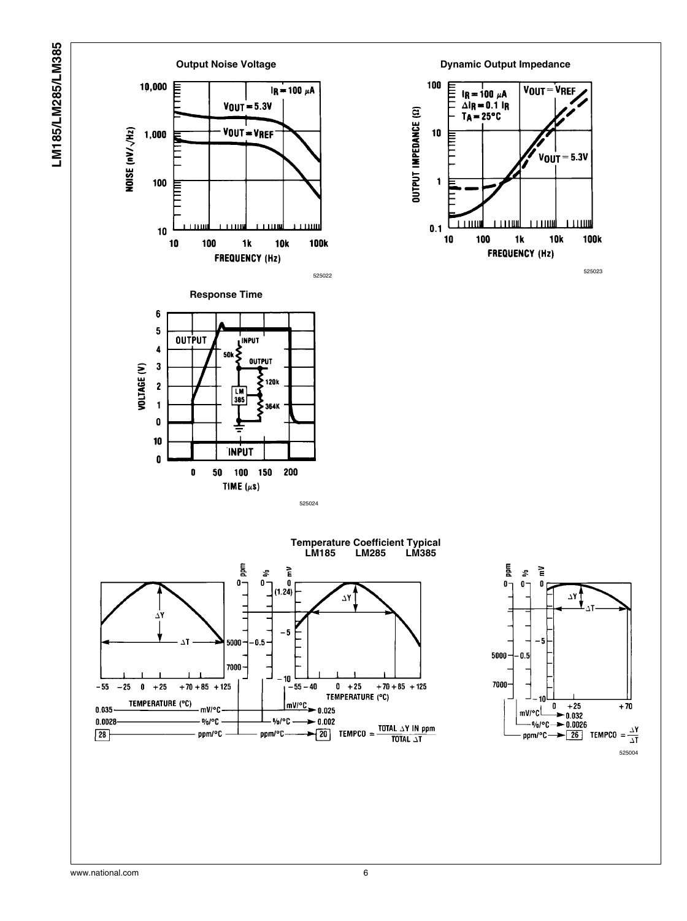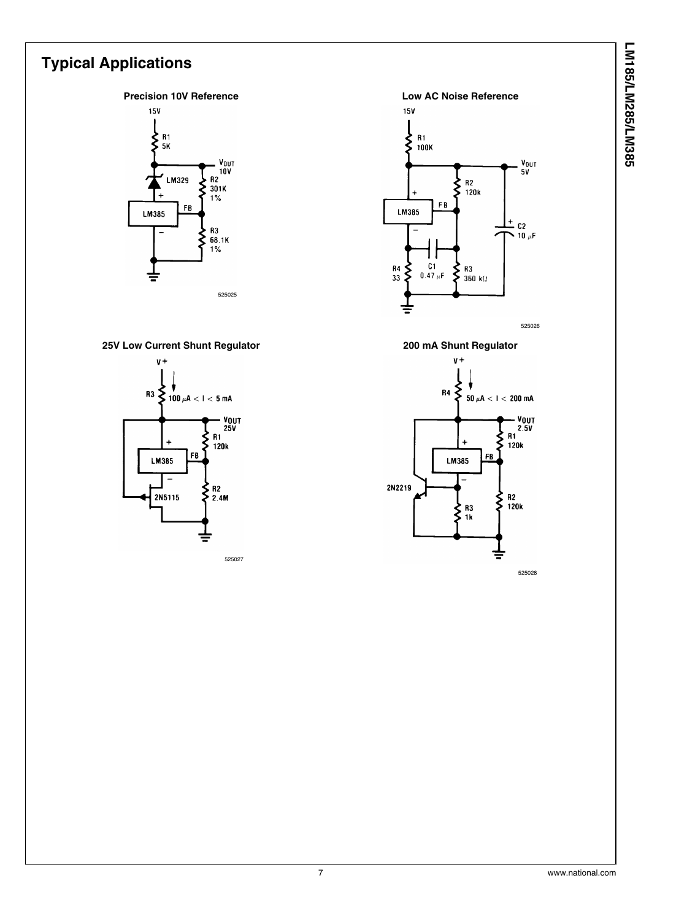# LM185/LM285/LM385 **LM185/LM285/LM385**

## **Typical Applications**



#### **25V Low Current Shunt Regulator**



525027



**200 mA Shunt Regulator**



7 www.national.com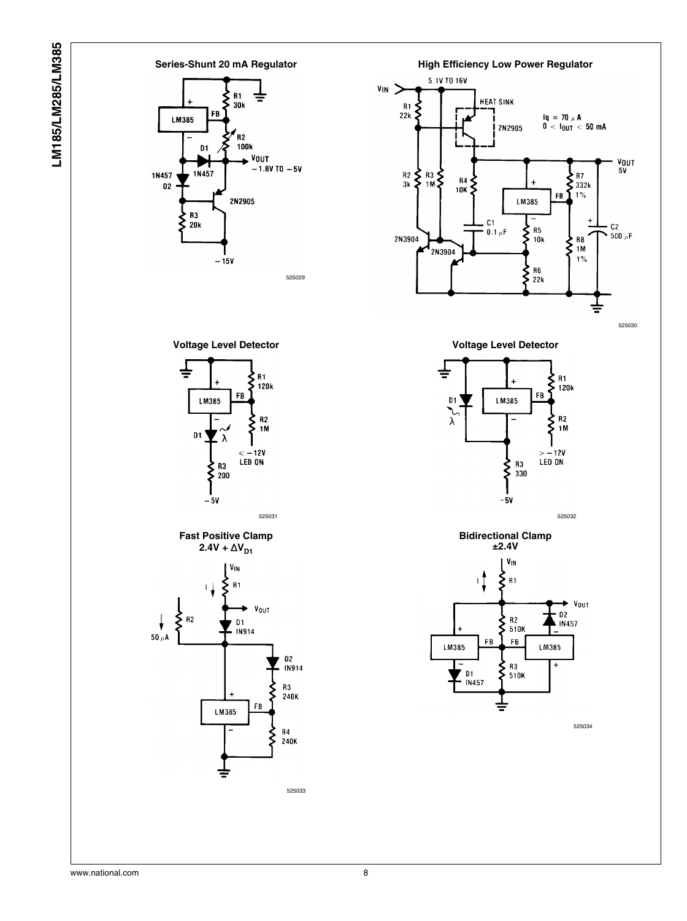



525030







525034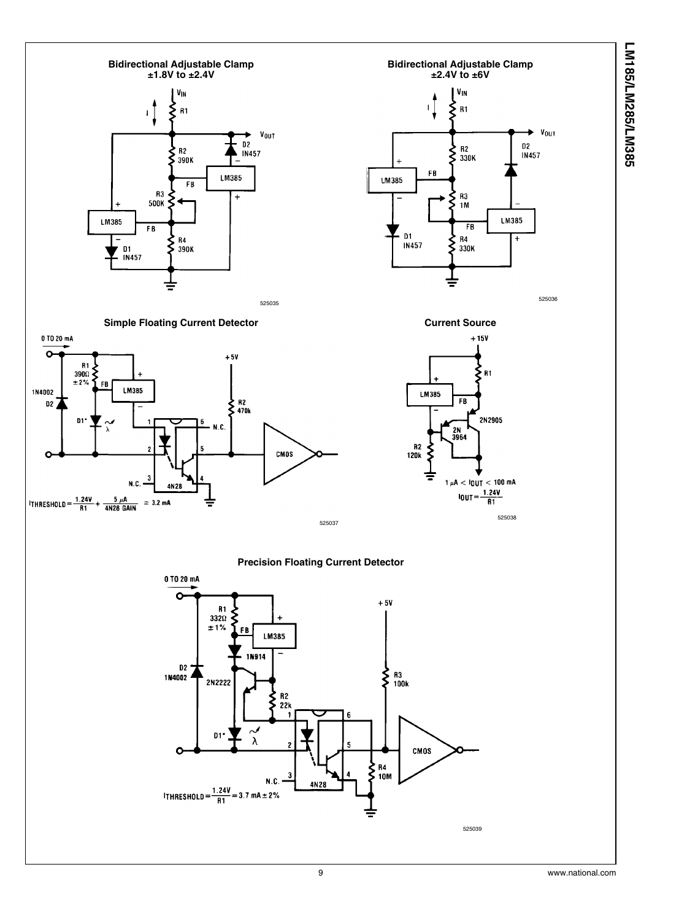LM185/LM285/LM385 **LM185/LM285/LM385**

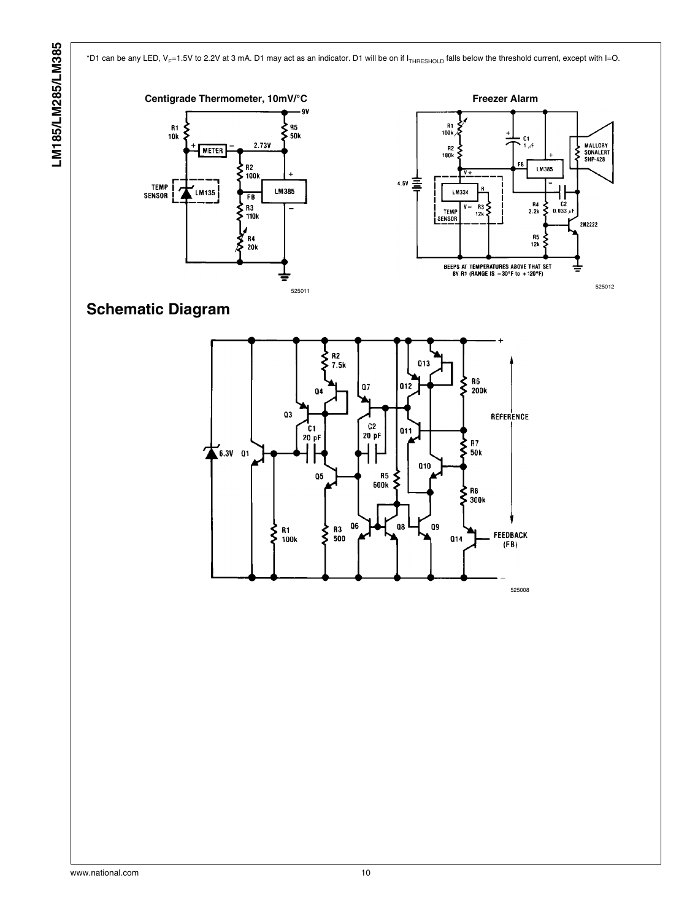\*D1 can be any LED, V<sub>F</sub>=1.5V to 2.2V at 3 mA. D1 may act as an indicator. D1 will be on if I<sub>THRESHOLD</sub> falls below the threshold current, except with I=O.





**Schematic Diagram**

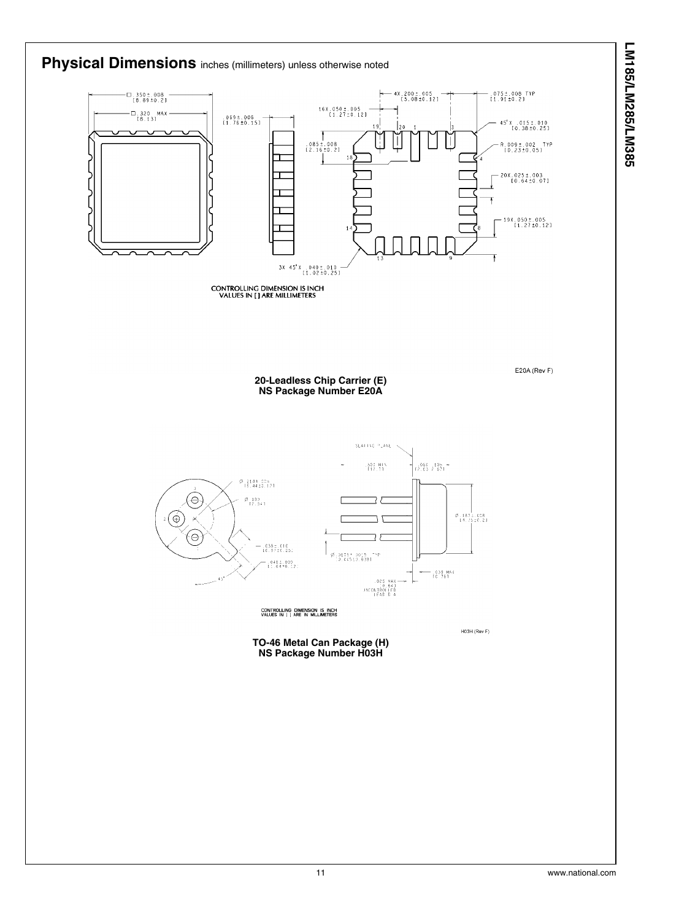

**LM185/LM285/LM385**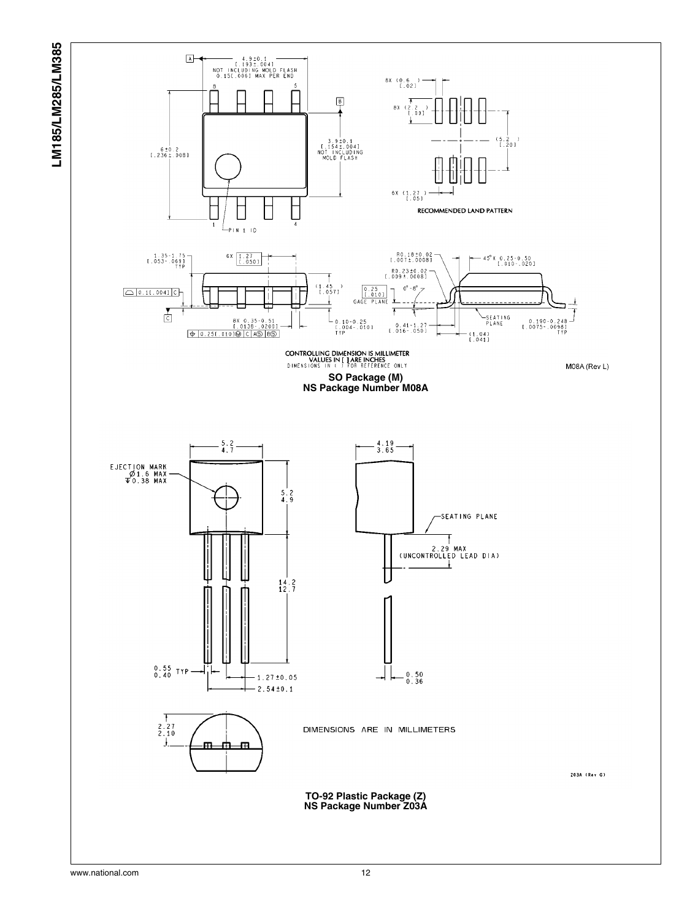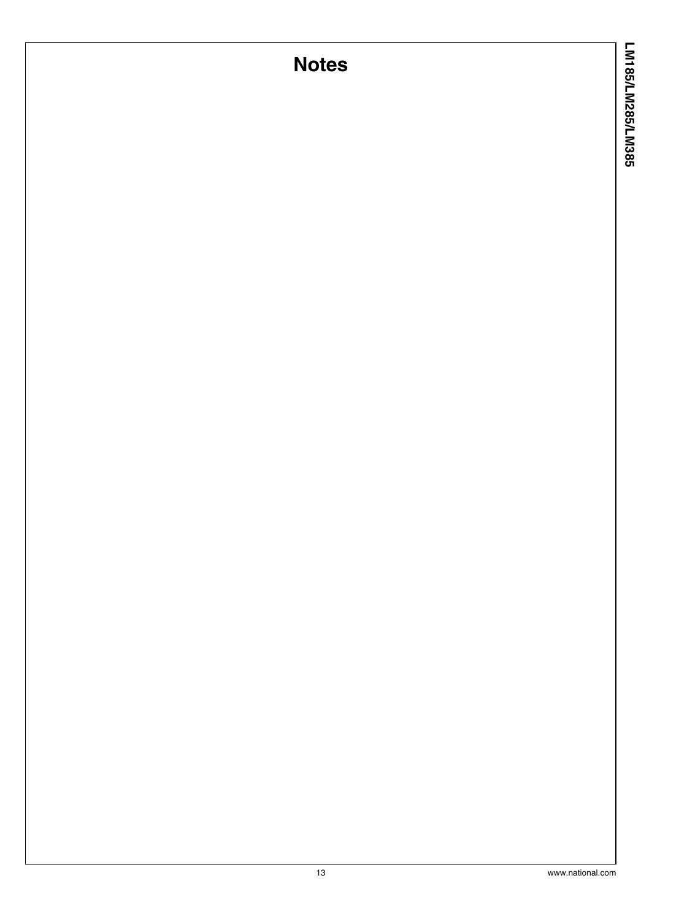## **Notes**

LM185/LM285/LM385 **LM185/LM285/LM385**